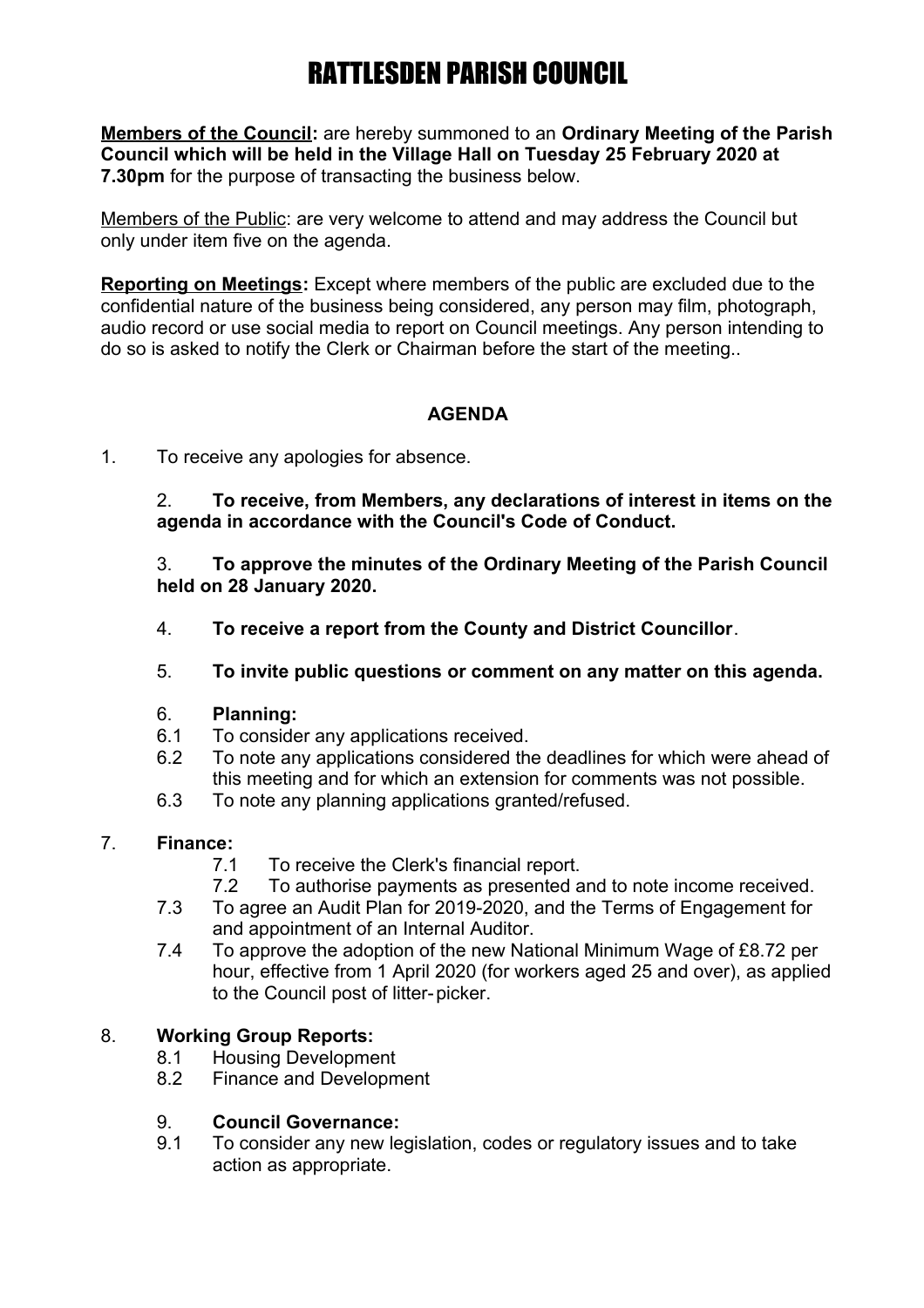**Members of the Council:** are hereby summoned to an **Ordinary Meeting of the Parish Council which will be held in the Village Hall on Tuesday 25 February 2020 at 7.30pm** for the purpose of transacting the business below.

Members of the Public: are very welcome to attend and may address the Council but only under item five on the agenda.

**Reporting on Meetings:** Except where members of the public are excluded due to the confidential nature of the business being considered, any person may film, photograph, audio record or use social media to report on Council meetings. Any person intending to do so is asked to notify the Clerk or Chairman before the start of the meeting..

### **AGENDA**

1. To receive any apologies for absence.

2. **To receive, from Members, any declarations of interest in items on the agenda in accordance with the Council's Code of Conduct.**

3. **To approve the minutes of the Ordinary Meeting of the Parish Council held on 28 January 2020.**

- 4. **To receive a report from the County and District Councillor**.
- 5. **To invite public questions or comment on any matter on this agenda.**

#### 6. **Planning:**

- 6.1 To consider any applications received.
- 6.2 To note any applications considered the deadlines for which were ahead of this meeting and for which an extension for comments was not possible.
- 6.3 To note any planning applications granted/refused.

#### 7. **Finance:**

- 7.1 To receive the Clerk's financial report.
- 7.2 To authorise payments as presented and to note income received.
- 7.3 To agree an Audit Plan for 2019-2020, and the Terms of Engagement for and appointment of an Internal Auditor.
- 7.4 To approve the adoption of the new National Minimum Wage of £8.72 per hour, effective from 1 April 2020 (for workers aged 25 and over), as applied to the Council post of litter-picker.

### 8. **Working Group Reports:**

- 8.1 Housing Development
- 8.2 Finance and Development

#### 9. **Council Governance:**

9.1 To consider any new legislation, codes or regulatory issues and to take action as appropriate.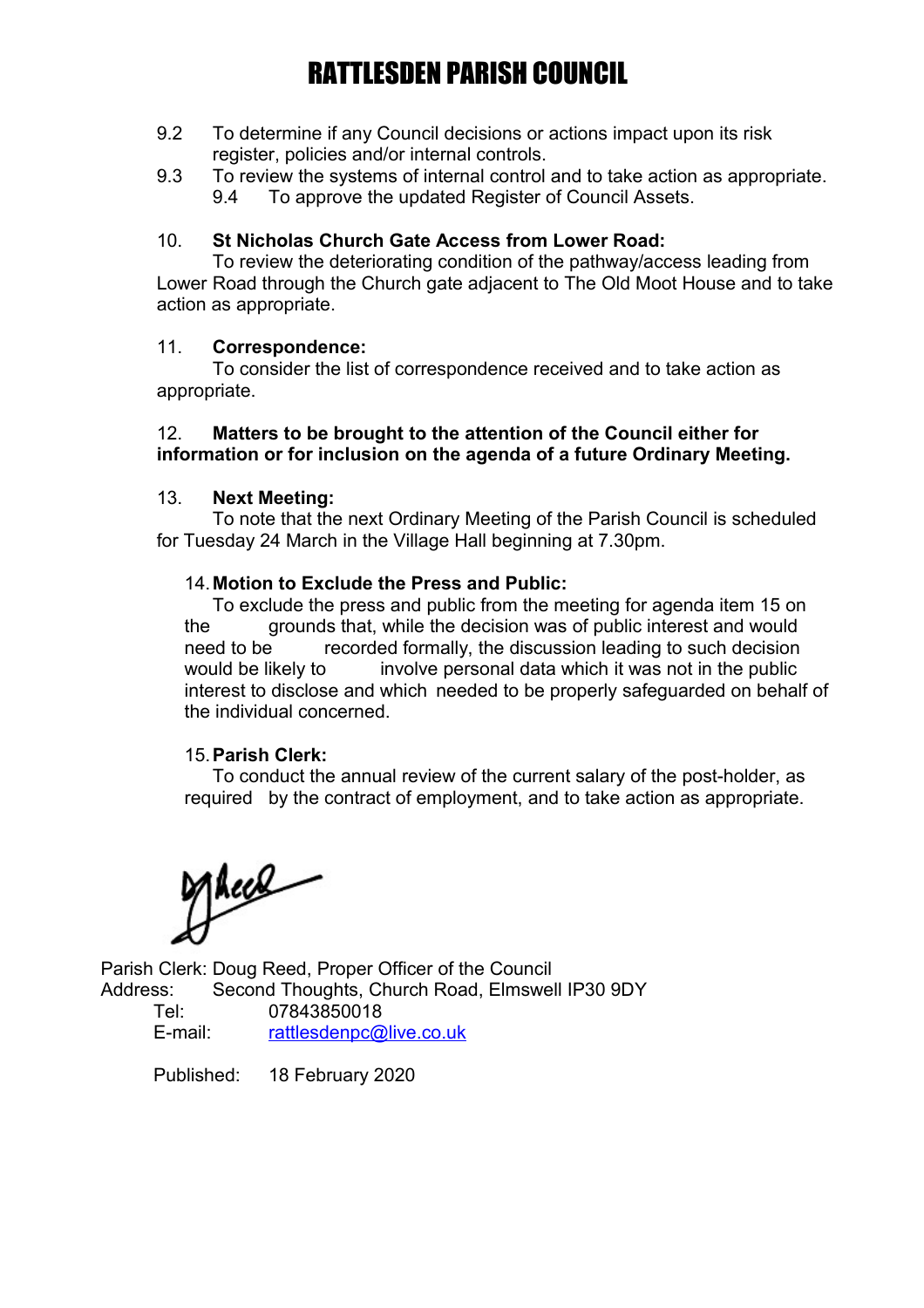- 9.2 To determine if any Council decisions or actions impact upon its risk register, policies and/or internal controls.
- 9.3 To review the systems of internal control and to take action as appropriate. 9.4 To approve the updated Register of Council Assets.

#### 10. **St Nicholas Church Gate Access from Lower Road:**

To review the deteriorating condition of the pathway/access leading from Lower Road through the Church gate adjacent to The Old Moot House and to take action as appropriate.

#### 11. **Correspondence:**

To consider the list of correspondence received and to take action as appropriate.

#### 12. **Matters to be brought to the attention of the Council either for information or for inclusion on the agenda of a future Ordinary Meeting.**

#### 13. **Next Meeting:**

To note that the next Ordinary Meeting of the Parish Council is scheduled for Tuesday 24 March in the Village Hall beginning at 7.30pm.

#### 14.**Motion to Exclude the Press and Public:**

To exclude the press and public from the meeting for agenda item 15 on the grounds that, while the decision was of public interest and would need to be recorded formally, the discussion leading to such decision would be likely to involve personal data which it was not in the public interest to disclose and which needed to be properly safeguarded on behalf of the individual concerned.

#### 15.**Parish Clerk:**

To conduct the annual review of the current salary of the post-holder, as required by the contract of employment, and to take action as appropriate.

Mece

Parish Clerk: Doug Reed, Proper Officer of the Council Address: Second Thoughts, Church Road, Elmswell IP30 9DY Tel: 07843850018 E-mail: [rattlesdenpc@live.co.uk](mailto:rattlesdenpc@live.co.uk)

Published: 18 February 2020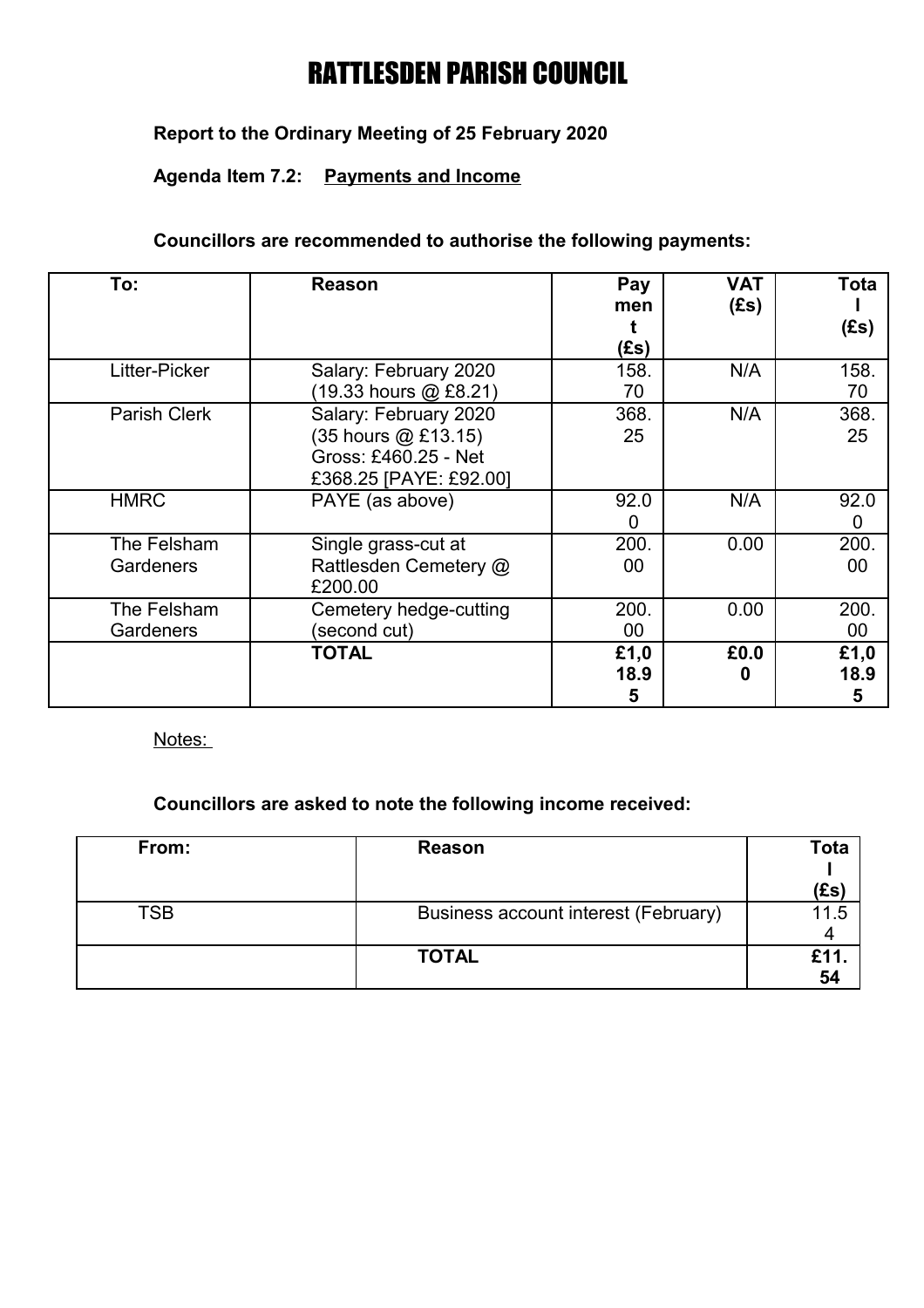# **Report to the Ordinary Meeting of 25 February 2020**

# **Agenda Item 7.2: Payments and Income**

#### **Councillors are recommended to authorise the following payments:**

| To:                             | <b>Reason</b>                                                                                  | Pay<br>men<br>(Es) | <b>VAT</b><br>(Es) | Tota<br>(Es)      |
|---------------------------------|------------------------------------------------------------------------------------------------|--------------------|--------------------|-------------------|
| Litter-Picker                   | Salary: February 2020<br>(19.33 hours @ £8.21)                                                 | 158.<br>70         | N/A                | 158.<br>70        |
| <b>Parish Clerk</b>             | Salary: February 2020<br>(35 hours @ £13.15)<br>Gross: £460.25 - Net<br>£368.25 [PAYE: £92.00] | 368.<br>25         | N/A                | 368.<br>25        |
| <b>HMRC</b>                     | PAYE (as above)                                                                                | 92.0<br>0          | N/A                | 92.0<br>0         |
| The Felsham<br><b>Gardeners</b> | Single grass-cut at<br>Rattlesden Cemetery @<br>£200.00                                        | 200.<br>00         | 0.00               | 200.<br>00        |
| The Felsham<br><b>Gardeners</b> | Cemetery hedge-cutting<br>(second cut)                                                         | 200.<br>00         | 0.00               | 200.<br>$00\,$    |
|                                 | <b>TOTAL</b>                                                                                   | £1,0<br>18.9<br>5  | £0.0<br>o          | £1,0<br>18.9<br>5 |

Notes:

# **Councillors are asked to note the following income received:**

| From:      | Reason                               | Tota |
|------------|--------------------------------------|------|
|            |                                      |      |
|            |                                      | (£s) |
| <b>TSB</b> | Business account interest (February) |      |
|            |                                      |      |
|            | <b>TOTAL</b>                         |      |
|            |                                      | 54   |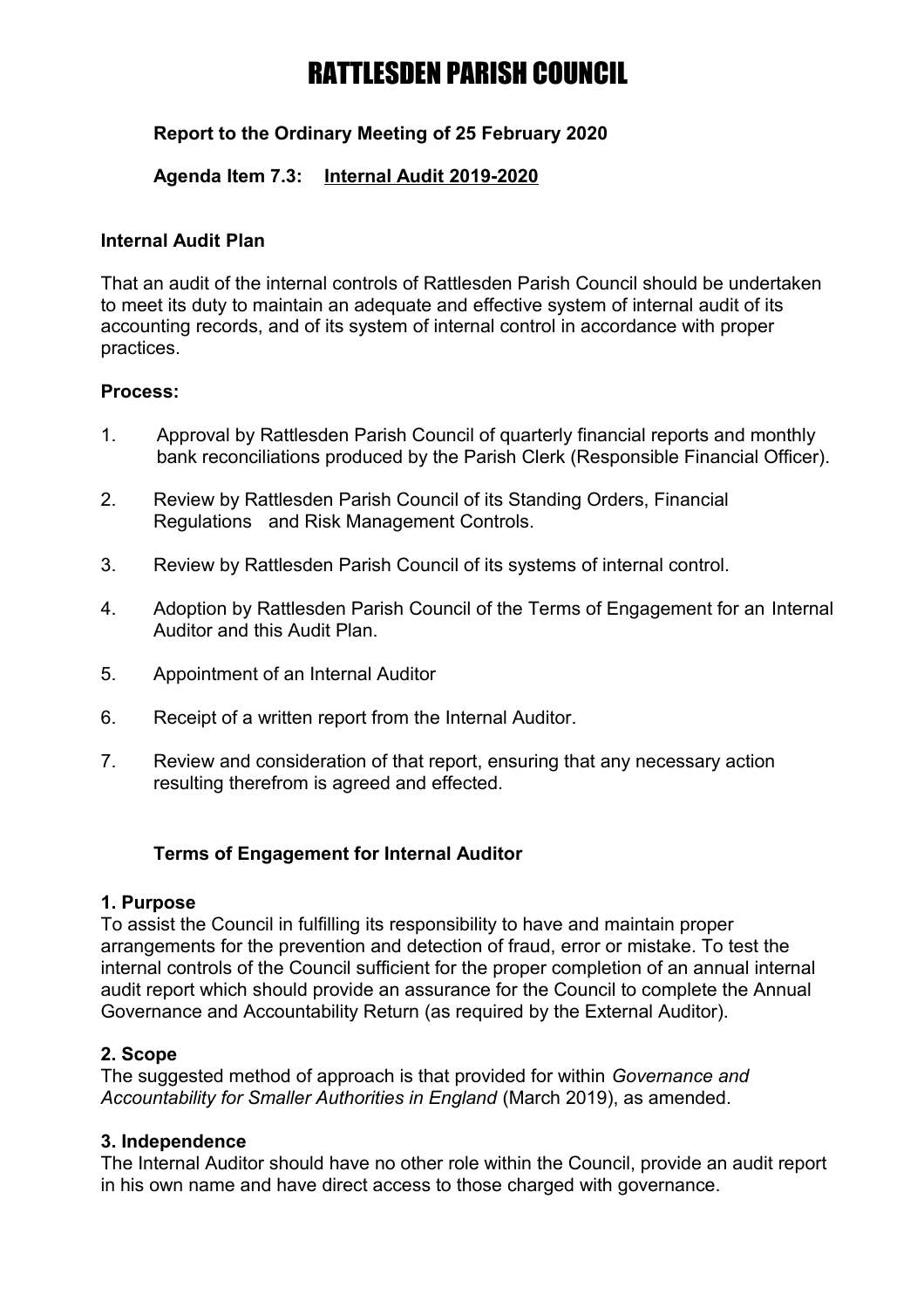# **Report to the Ordinary Meeting of 25 February 2020**

### **Agenda Item 7.3: Internal Audit 2019-2020**

#### **Internal Audit Plan**

That an audit of the internal controls of Rattlesden Parish Council should be undertaken to meet its duty to maintain an adequate and effective system of internal audit of its accounting records, and of its system of internal control in accordance with proper practices.

#### **Process:**

- 1. Approval by Rattlesden Parish Council of quarterly financial reports and monthly bank reconciliations produced by the Parish Clerk (Responsible Financial Officer).
- 2. Review by Rattlesden Parish Council of its Standing Orders, Financial Regulations and Risk Management Controls.
- 3. Review by Rattlesden Parish Council of its systems of internal control.
- 4. Adoption by Rattlesden Parish Council of the Terms of Engagement for an Internal Auditor and this Audit Plan.
- 5. Appointment of an Internal Auditor
- 6. Receipt of a written report from the Internal Auditor.
- 7. Review and consideration of that report, ensuring that any necessary action resulting therefrom is agreed and effected.

#### **Terms of Engagement for Internal Auditor**

#### **1. Purpose**

To assist the Council in fulfilling its responsibility to have and maintain proper arrangements for the prevention and detection of fraud, error or mistake. To test the internal controls of the Council sufficient for the proper completion of an annual internal audit report which should provide an assurance for the Council to complete the Annual Governance and Accountability Return (as required by the External Auditor).

#### **2. Scope**

The suggested method of approach is that provided for within *Governance and Accountability for Smaller Authorities in England* (March 2019), as amended.

#### **3. Independence**

The Internal Auditor should have no other role within the Council, provide an audit report in his own name and have direct access to those charged with governance.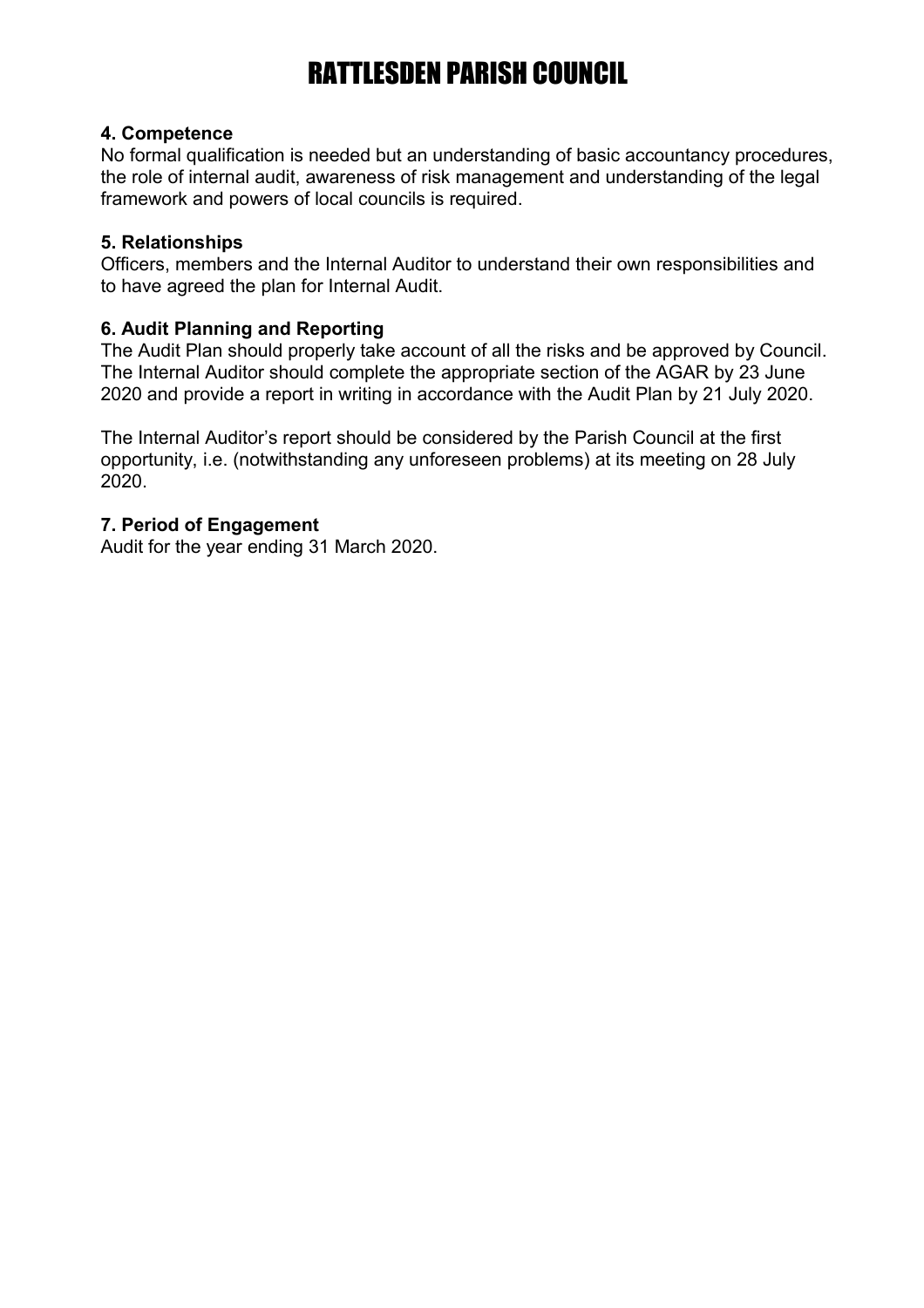#### **4. Competence**

No formal qualification is needed but an understanding of basic accountancy procedures, the role of internal audit, awareness of risk management and understanding of the legal framework and powers of local councils is required.

#### **5. Relationships**

Officers, members and the Internal Auditor to understand their own responsibilities and to have agreed the plan for Internal Audit.

#### **6. Audit Planning and Reporting**

The Audit Plan should properly take account of all the risks and be approved by Council. The Internal Auditor should complete the appropriate section of the AGAR by 23 June 2020 and provide a report in writing in accordance with the Audit Plan by 21 July 2020.

The Internal Auditor's report should be considered by the Parish Council at the first opportunity, i.e. (notwithstanding any unforeseen problems) at its meeting on 28 July 2020.

#### **7. Period of Engagement**

Audit for the year ending 31 March 2020.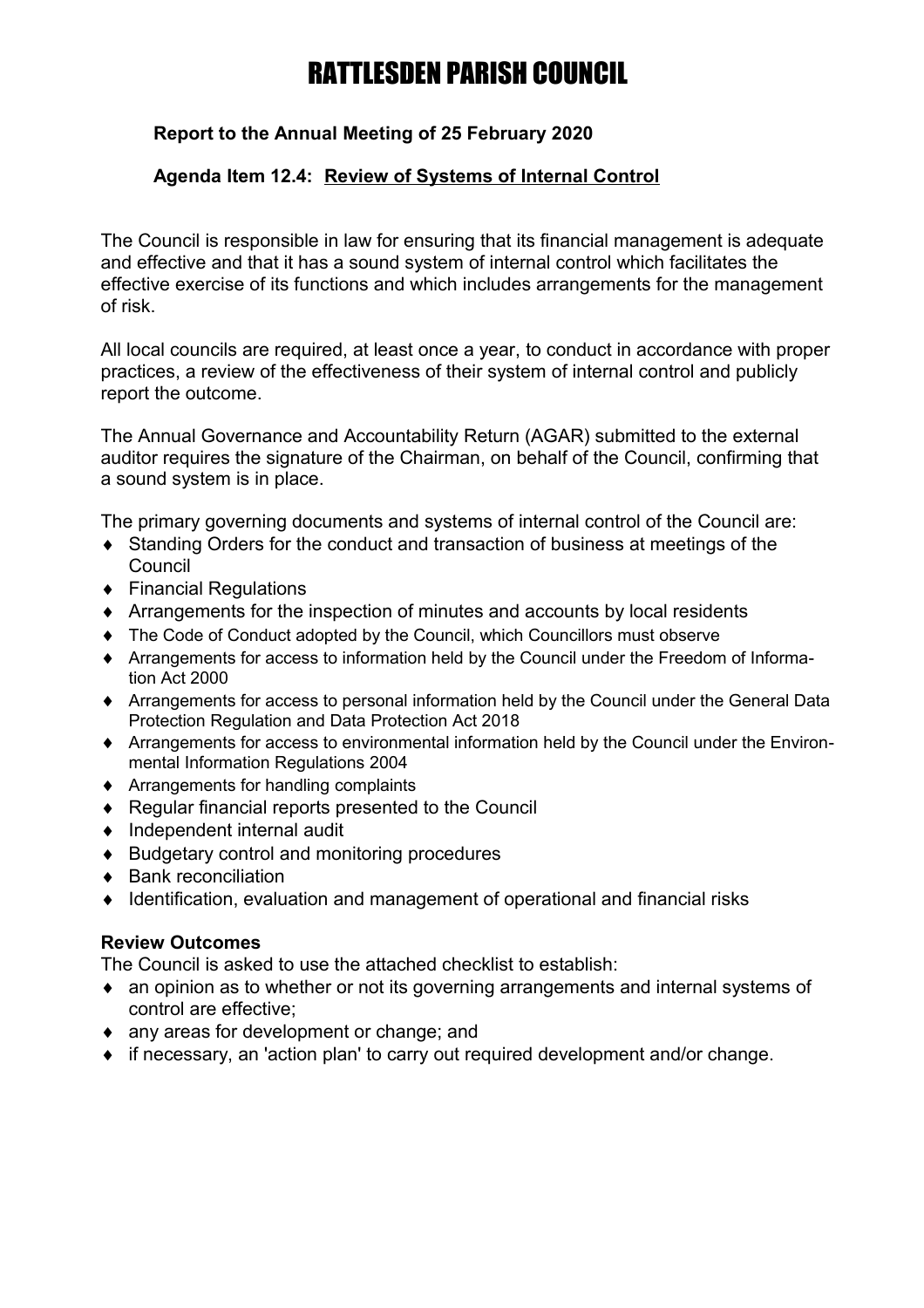# **Report to the Annual Meeting of 25 February 2020**

### **Agenda Item 12.4: Review of Systems of Internal Control**

The Council is responsible in law for ensuring that its financial management is adequate and effective and that it has a sound system of internal control which facilitates the effective exercise of its functions and which includes arrangements for the management of risk.

All local councils are required, at least once a year, to conduct in accordance with proper practices, a review of the effectiveness of their system of internal control and publicly report the outcome.

The Annual Governance and Accountability Return (AGAR) submitted to the external auditor requires the signature of the Chairman, on behalf of the Council, confirming that a sound system is in place.

The primary governing documents and systems of internal control of the Council are:

- Standing Orders for the conduct and transaction of business at meetings of the **Council**
- ◆ Financial Regulations
- Arrangements for the inspection of minutes and accounts by local residents
- The Code of Conduct adopted by the Council, which Councillors must observe
- Arrangements for access to information held by the Council under the Freedom of Information Act 2000
- Arrangements for access to personal information held by the Council under the General Data Protection Regulation and Data Protection Act 2018
- Arrangements for access to environmental information held by the Council under the Environmental Information Regulations 2004
- ◆ Arrangements for handling complaints
- ◆ Regular financial reports presented to the Council
- $\bullet$  Independent internal audit
- ◆ Budgetary control and monitoring procedures
- ◆ Bank reconciliation
- ◆ Identification, evaluation and management of operational and financial risks

#### **Review Outcomes**

The Council is asked to use the attached checklist to establish:

- an opinion as to whether or not its governing arrangements and internal systems of control are effective;
- any areas for development or change; and
- if necessary, an 'action plan' to carry out required development and/or change.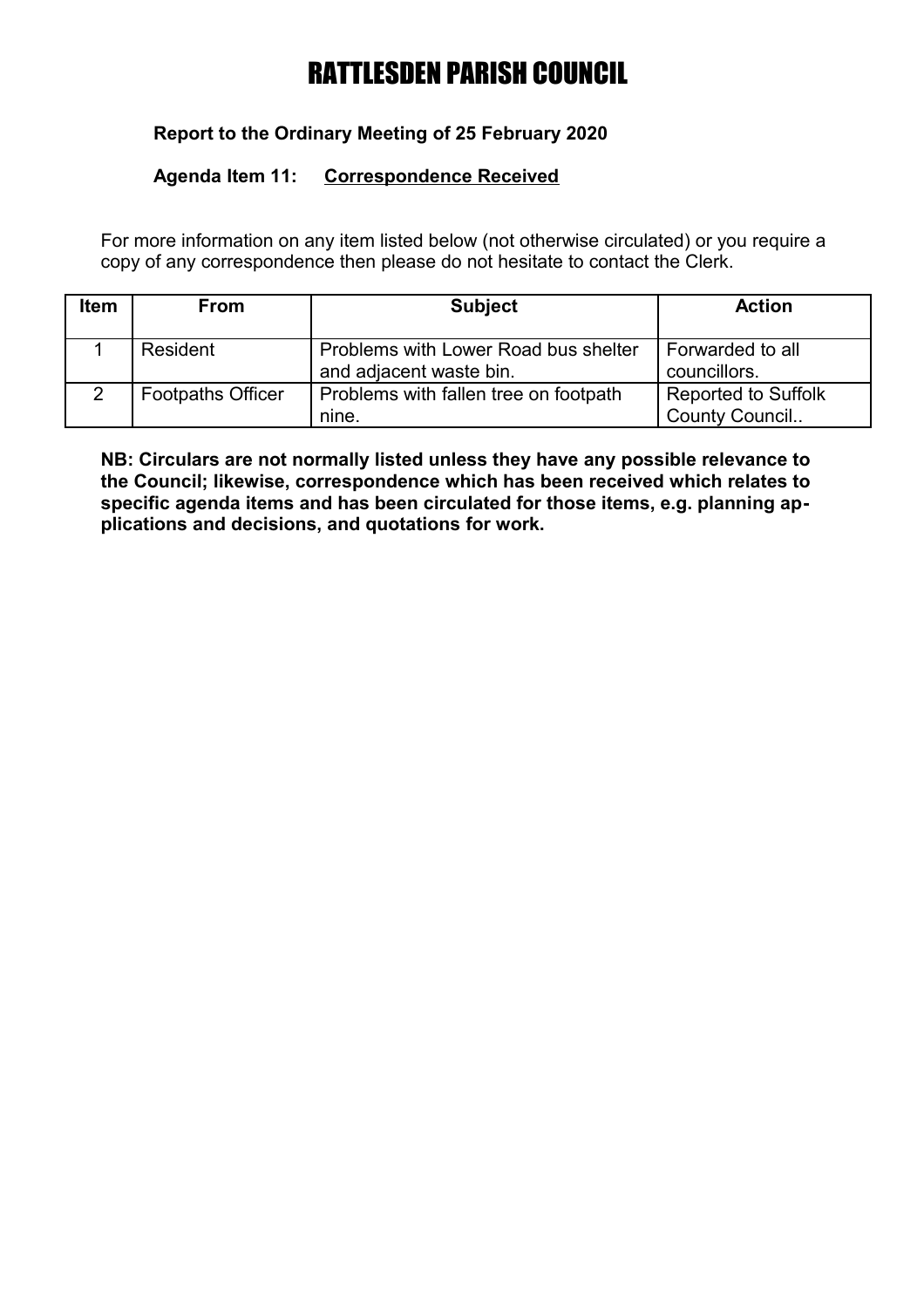# **Report to the Ordinary Meeting of 25 February 2020**

### **Agenda Item 11: Correspondence Received**

For more information on any item listed below (not otherwise circulated) or you require a copy of any correspondence then please do not hesitate to contact the Clerk.

| <b>Item</b> | <b>From</b>              | <b>Subject</b>                                                  | <b>Action</b>                                |
|-------------|--------------------------|-----------------------------------------------------------------|----------------------------------------------|
|             | Resident                 | Problems with Lower Road bus shelter<br>and adjacent waste bin. | Forwarded to all<br>councillors.             |
|             | <b>Footpaths Officer</b> | Problems with fallen tree on footpath<br>nine.                  | <b>Reported to Suffolk</b><br>County Council |

**NB: Circulars are not normally listed unless they have any possible relevance to the Council; likewise, correspondence which has been received which relates to specific agenda items and has been circulated for those items, e.g. planning applications and decisions, and quotations for work.**